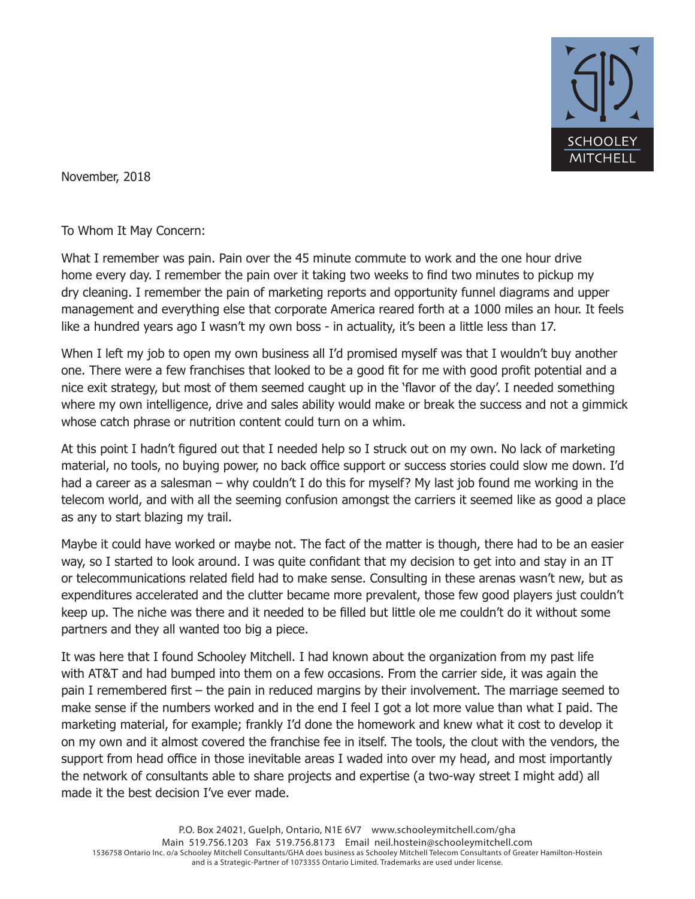

November, 2018

To Whom It May Concern:

What I remember was pain. Pain over the 45 minute commute to work and the one hour drive home every day. I remember the pain over it taking two weeks to find two minutes to pickup my dry cleaning. I remember the pain of marketing reports and opportunity funnel diagrams and upper management and everything else that corporate America reared forth at a 1000 miles an hour. It feels like a hundred years ago I wasn't my own boss - in actuality, it's been a little less than 17.

When I left my job to open my own business all I'd promised myself was that I wouldn't buy another one. There were a few franchises that looked to be a good fit for me with good profit potential and a nice exit strategy, but most of them seemed caught up in the 'flavor of the day'. I needed something where my own intelligence, drive and sales ability would make or break the success and not a gimmick whose catch phrase or nutrition content could turn on a whim.

At this point I hadn't figured out that I needed help so I struck out on my own. No lack of marketing material, no tools, no buying power, no back office support or success stories could slow me down. I'd had a career as a salesman – why couldn't I do this for myself? My last job found me working in the telecom world, and with all the seeming confusion amongst the carriers it seemed like as good a place as any to start blazing my trail.

Maybe it could have worked or maybe not. The fact of the matter is though, there had to be an easier way, so I started to look around. I was quite confidant that my decision to get into and stay in an IT or telecommunications related field had to make sense. Consulting in these arenas wasn't new, but as expenditures accelerated and the clutter became more prevalent, those few good players just couldn't keep up. The niche was there and it needed to be filled but little ole me couldn't do it without some partners and they all wanted too big a piece.

It was here that I found Schooley Mitchell. I had known about the organization from my past life with AT&T and had bumped into them on a few occasions. From the carrier side, it was again the pain I remembered first – the pain in reduced margins by their involvement. The marriage seemed to make sense if the numbers worked and in the end I feel I got a lot more value than what I paid. The marketing material, for example; frankly I'd done the homework and knew what it cost to develop it on my own and it almost covered the franchise fee in itself. The tools, the clout with the vendors, the support from head office in those inevitable areas I waded into over my head, and most importantly the network of consultants able to share projects and expertise (a two-way street I might add) all made it the best decision I've ever made.